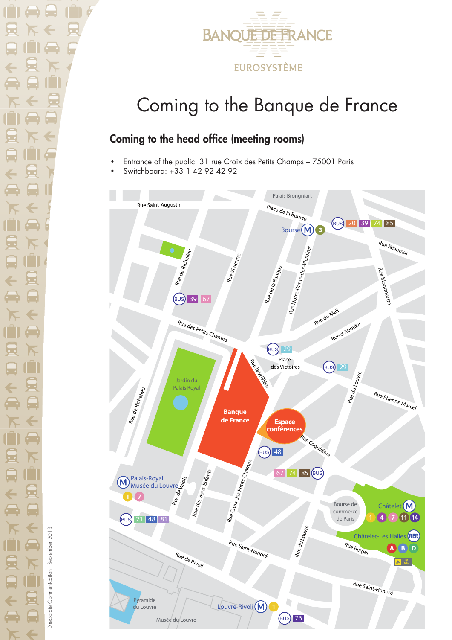

# Coming to the Banque de France

## Coming to the head office (meeting rooms)

- Entrance of the public: 31 rue Croix des Petits Champs 75001 Paris
- Switchboard: +33 1 42 92 42 92



 $\overline{\phantom{0}}$  $\overline{\phantom{a}}$ 5  $\bullet$ 

Directorate Communication - September 2013

Directorate Communication - September 2013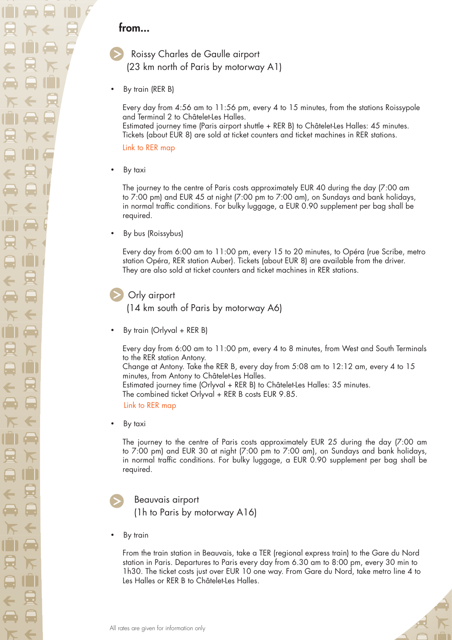## from...

 Roissy Charles de Gaulle airport (23 km north of Paris by motorway A1) **>**

By train (RER B)

Every day from 4:56 am to 11:56 pm, every 4 to 15 minutes, from the stations Roissypole and Terminal 2 to Châtelet-Les Halles.

Estimated journey time (Paris airport shuttle + RER B) to Châtelet-Les Halles: 45 minutes. Tickets (about EUR 8) are sold at ticket counters and ticket machines in RER stations.

[Link to RER map](http://www.ratp.fr/informer/pdf/orienter/f_plan.php?loc=reseaux&nompdf=rer&fm=gif)

By taxi

The journey to the centre of Paris costs approximately EUR 40 during the day (7:00 am to 7:00 pm) and EUR 45 at night (7:00 pm to 7:00 am), on Sundays and bank holidays, in normal traffic conditions. For bulky luggage, a EUR 0.90 supplement per bag shall be required.

By bus (Roissybus)

Every day from 6:00 am to 11:00 pm, every 15 to 20 minutes, to Opéra (rue Scribe, metro station Opéra, RER station Auber). Tickets (about EUR 8) are available from the driver. They are also sold at ticket counters and ticket machines in RER stations.

 Orly airport **>**

(14 km south of Paris by motorway A6)

By train (Orlyval + RER B)

Every day from 6:00 am to 11:00 pm, every 4 to 8 minutes, from West and South Terminals to the RER station Antony. Change at Antony. Take the RER B, every day from 5:08 am to 12:12 am, every 4 to 15

minutes, from Antony to Châtelet-Les Halles.

Estimated journey time (Orlyval + RER B) to Châtelet-Les Halles: 35 minutes. The combined ticket Orlyval + RER B costs EUR 9.85.

[Link to RER map](http://www.ratp.fr/informer/pdf/orienter/f_plan.php?loc=reseaux&nompdf=rer&fm=gif)

By taxi

The journey to the centre of Paris costs approximately EUR 25 during the day (7:00 am to 7:00 pm) and EUR 30 at night (7:00 pm to 7:00 am), on Sundays and bank holidays, in normal traffic conditions. For bulky luggage, a EUR 0.90 supplement per bag shall be required.

 Beauvais airport **>**

(1h to Paris by motorway A16)

By train

From the train station in Beauvais, take a TER (regional express train) to the Gare du Nord station in Paris. Departures to Paris every day from 6.30 am to 8:00 pm, every 30 min to 1h30. The ticket costs just over EUR 10 one way. From Gare du Nord, take metro line 4 to Les Halles or RER B to Châtelet-Les Halles.